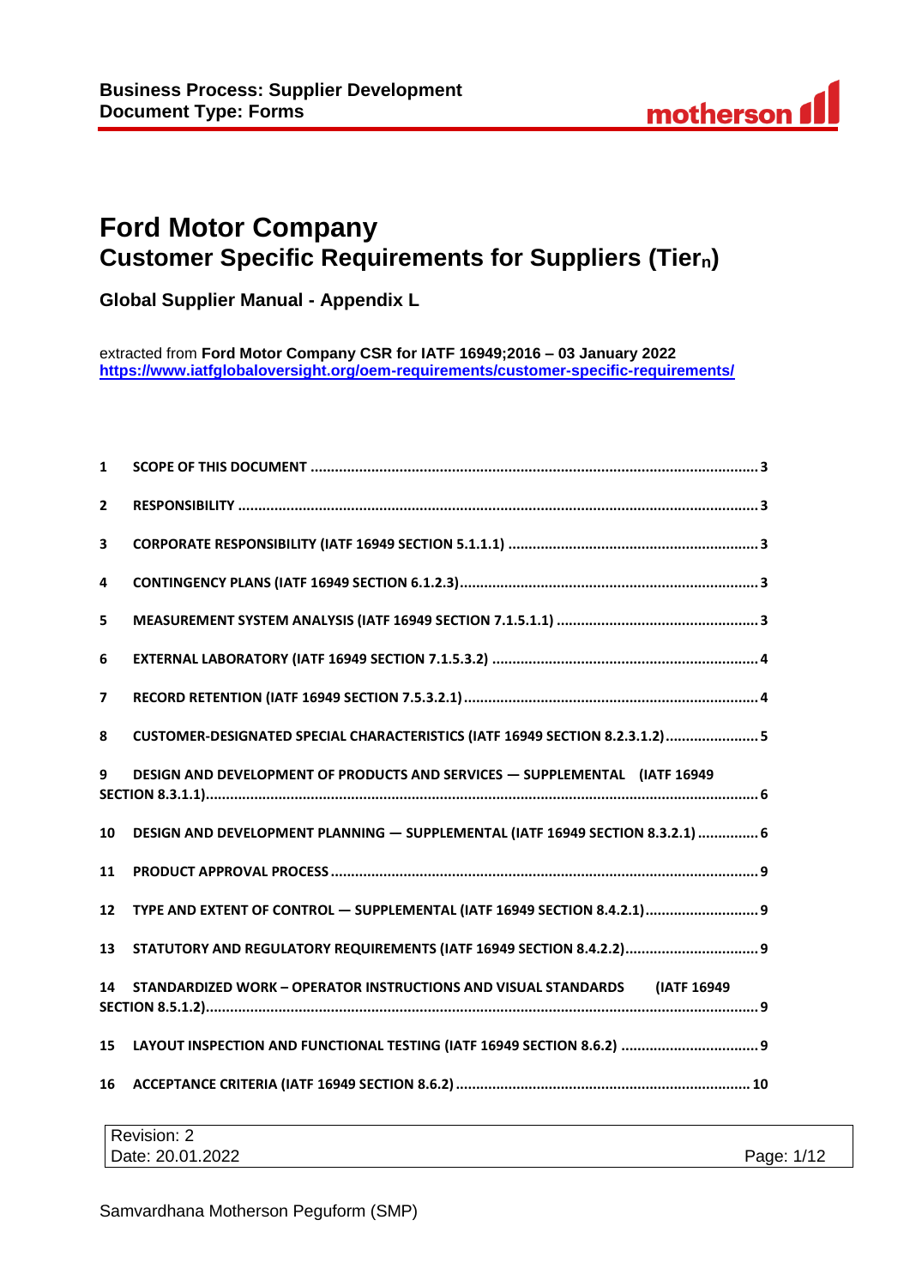# **Ford Motor Company Customer Specific Requirements for Suppliers (Tiern)**

**Global Supplier Manual - Appendix L**

extracted from **Ford Motor Company CSR for IATF 16949;2016 – 03 January 2022 <https://www.iatfglobaloversight.org/oem-requirements/customer-specific-requirements/>**

| 1            |                                                                                |
|--------------|--------------------------------------------------------------------------------|
| $\mathbf{2}$ |                                                                                |
| 3            |                                                                                |
| 4            |                                                                                |
| 5            |                                                                                |
| 6            |                                                                                |
| 7            |                                                                                |
| 8            | CUSTOMER-DESIGNATED SPECIAL CHARACTERISTICS (IATF 16949 SECTION 8.2.3.1.2)  5  |
| 9            | DESIGN AND DEVELOPMENT OF PRODUCTS AND SERVICES - SUPPLEMENTAL (IATF 16949     |
| 10           | DESIGN AND DEVELOPMENT PLANNING - SUPPLEMENTAL (IATF 16949 SECTION 8.3.2.1)  6 |
| 11           |                                                                                |
| 12           | TYPE AND EXTENT OF CONTROL - SUPPLEMENTAL (IATF 16949 SECTION 8.4.2.1) 9       |
| 13           |                                                                                |
| 14           | STANDARDIZED WORK - OPERATOR INSTRUCTIONS AND VISUAL STANDARDS (IATF 16949     |
| 15           | LAYOUT INSPECTION AND FUNCTIONAL TESTING (IATF 16949 SECTION 8.6.2)  9         |
| 16           |                                                                                |

| Revision: 2      |            |
|------------------|------------|
| Date: 20.01.2022 | Page: 1/12 |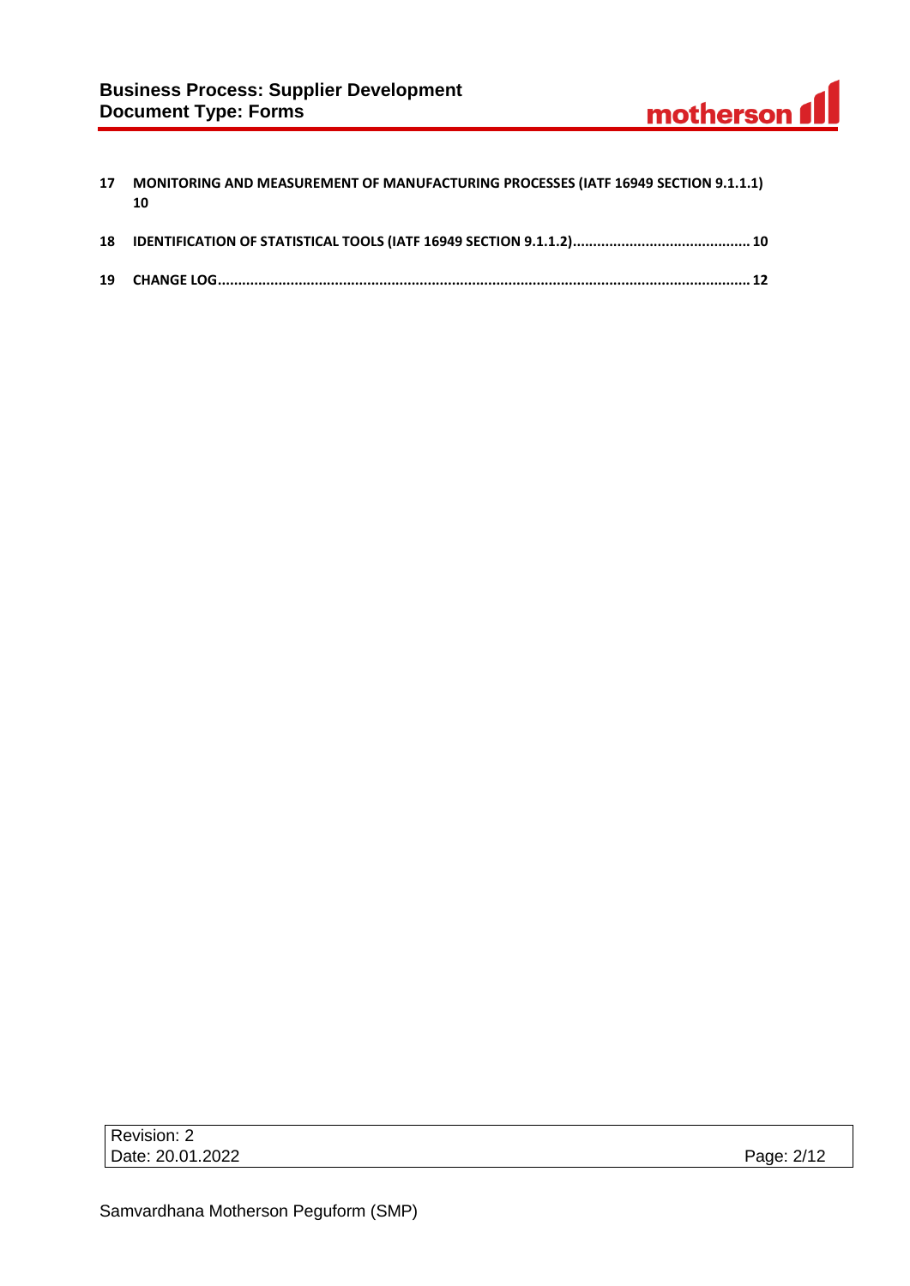# **Business Process: Supplier Development Document Type: Forms**

| 17 | MONITORING AND MEASUREMENT OF MANUFACTURING PROCESSES (IATF 16949 SECTION 9.1.1.1)<br>10 |
|----|------------------------------------------------------------------------------------------|
|    |                                                                                          |
|    |                                                                                          |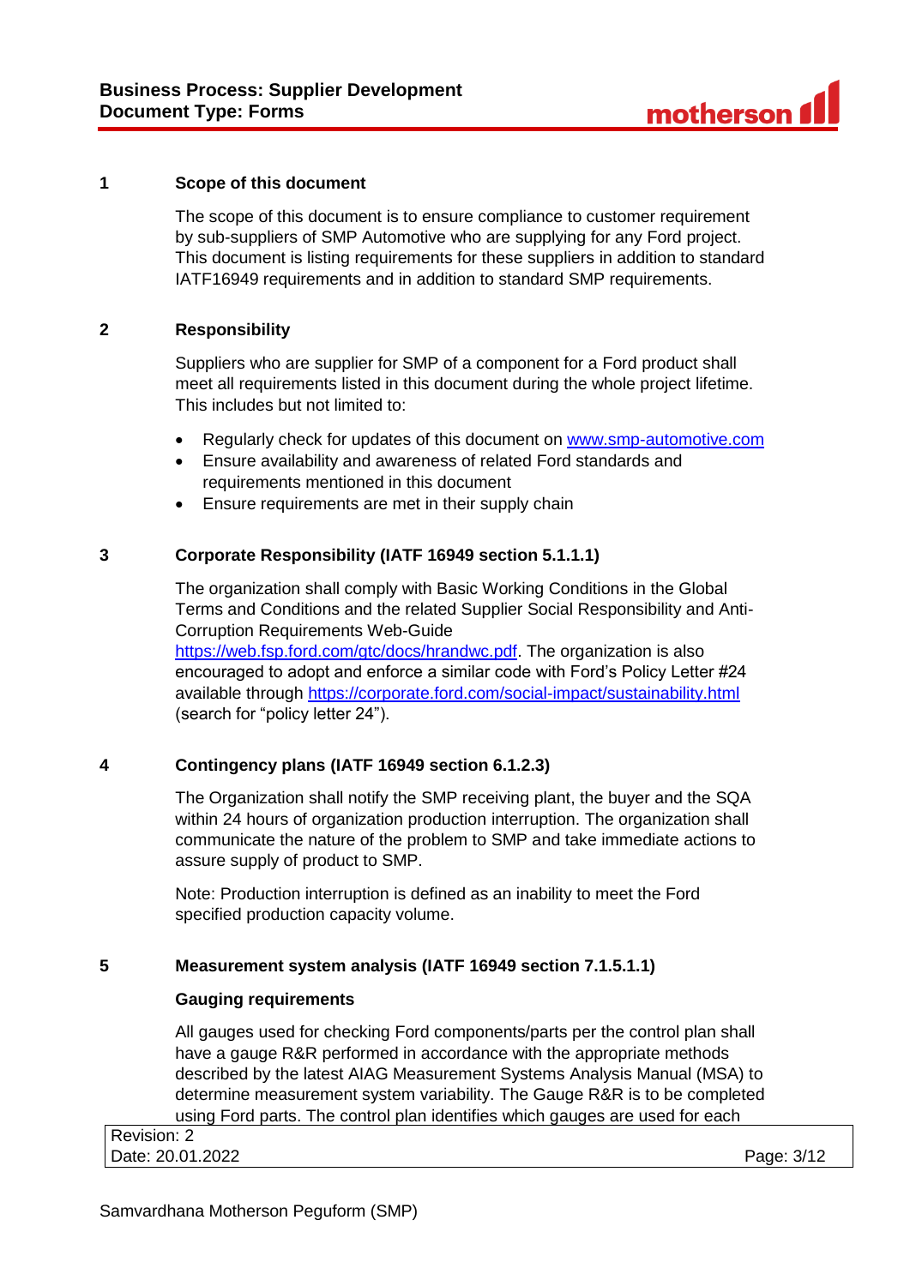#### **1 Scope of this document**

The scope of this document is to ensure compliance to customer requirement by sub-suppliers of SMP Automotive who are supplying for any Ford project. This document is listing requirements for these suppliers in addition to standard IATF16949 requirements and in addition to standard SMP requirements.

## **2 Responsibility**

Suppliers who are supplier for SMP of a component for a Ford product shall meet all requirements listed in this document during the whole project lifetime. This includes but not limited to:

- Regularly check for updates of this document on [www.smp-automotive.com](file:///C:/Users/B30577/Desktop/SMP%20Supplier%20Manual/Supplier%20Manual%20final/www.smp-automotive.com)
- Ensure availability and awareness of related Ford standards and requirements mentioned in this document
- Ensure requirements are met in their supply chain

#### **3 Corporate Responsibility (IATF 16949 section 5.1.1.1)**

The organization shall comply with Basic Working Conditions in the Global Terms and Conditions and the related Supplier Social Responsibility and Anti-Corruption Requirements Web-Guide [https://web.fsp.ford.com/gtc/docs/hrandwc.pdf.](https://web.fsp.ford.com/gtc/docs/hrandwc.pdf) The organization is also encouraged to adopt and enforce a similar code with Ford's Policy Letter #24 available through<https://corporate.ford.com/social-impact/sustainability.html> (search for "policy letter 24").

## **4 Contingency plans (IATF 16949 section 6.1.2.3)**

The Organization shall notify the SMP receiving plant, the buyer and the SQA within 24 hours of organization production interruption. The organization shall communicate the nature of the problem to SMP and take immediate actions to assure supply of product to SMP.

Note: Production interruption is defined as an inability to meet the Ford specified production capacity volume.

## **5 Measurement system analysis (IATF 16949 section 7.1.5.1.1)**

#### **Gauging requirements**

All gauges used for checking Ford components/parts per the control plan shall have a gauge R&R performed in accordance with the appropriate methods described by the latest AIAG Measurement Systems Analysis Manual (MSA) to determine measurement system variability. The Gauge R&R is to be completed using Ford parts. The control plan identifies which gauges are used for each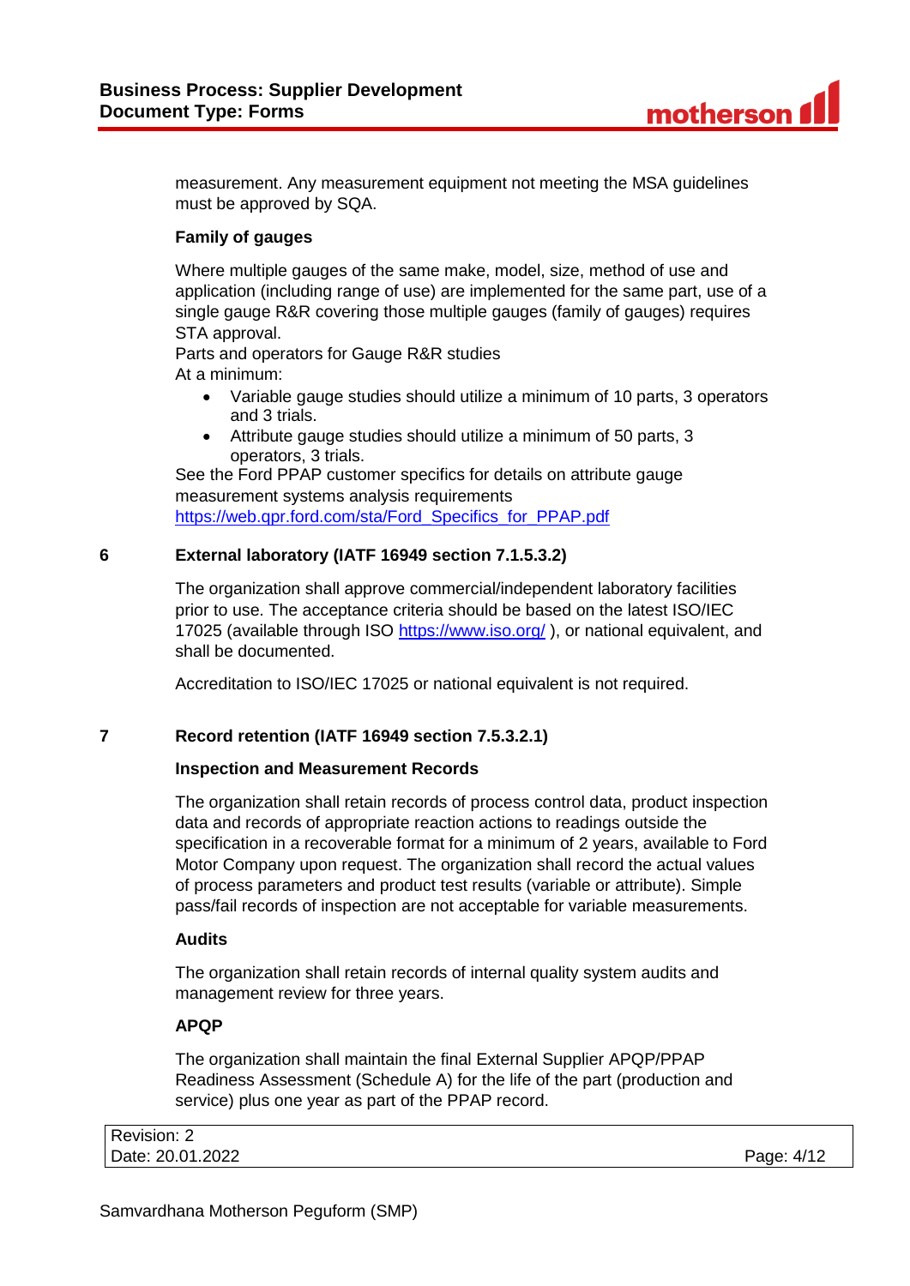measurement. Any measurement equipment not meeting the MSA guidelines must be approved by SQA.

# **Family of gauges**

Where multiple gauges of the same make, model, size, method of use and application (including range of use) are implemented for the same part, use of a single gauge R&R covering those multiple gauges (family of gauges) requires STA approval.

Parts and operators for Gauge R&R studies At a minimum:

- Variable gauge studies should utilize a minimum of 10 parts, 3 operators and 3 trials.
- Attribute gauge studies should utilize a minimum of 50 parts, 3 operators, 3 trials.

See the Ford PPAP customer specifics for details on attribute gauge measurement systems analysis requirements [https://web.qpr.ford.com/sta/Ford\\_Specifics\\_for\\_PPAP.pdf](https://web.qpr.ford.com/sta/Ford_Specifics_for_PPAP.pdf)

## **6 External laboratory (IATF 16949 section 7.1.5.3.2)**

The organization shall approve commercial/independent laboratory facilities prior to use. The acceptance criteria should be based on the latest ISO/IEC 17025 (available through ISO<https://www.iso.org/> ), or national equivalent, and shall be documented.

Accreditation to ISO/IEC 17025 or national equivalent is not required.

# **7 Record retention (IATF 16949 section 7.5.3.2.1)**

## **Inspection and Measurement Records**

The organization shall retain records of process control data, product inspection data and records of appropriate reaction actions to readings outside the specification in a recoverable format for a minimum of 2 years, available to Ford Motor Company upon request. The organization shall record the actual values of process parameters and product test results (variable or attribute). Simple pass/fail records of inspection are not acceptable for variable measurements.

## **Audits**

The organization shall retain records of internal quality system audits and management review for three years.

# **APQP**

The organization shall maintain the final External Supplier APQP/PPAP Readiness Assessment (Schedule A) for the life of the part (production and service) plus one year as part of the PPAP record.

| Revision: 2      |            |
|------------------|------------|
| Date: 20.01.2022 | Page: 4/12 |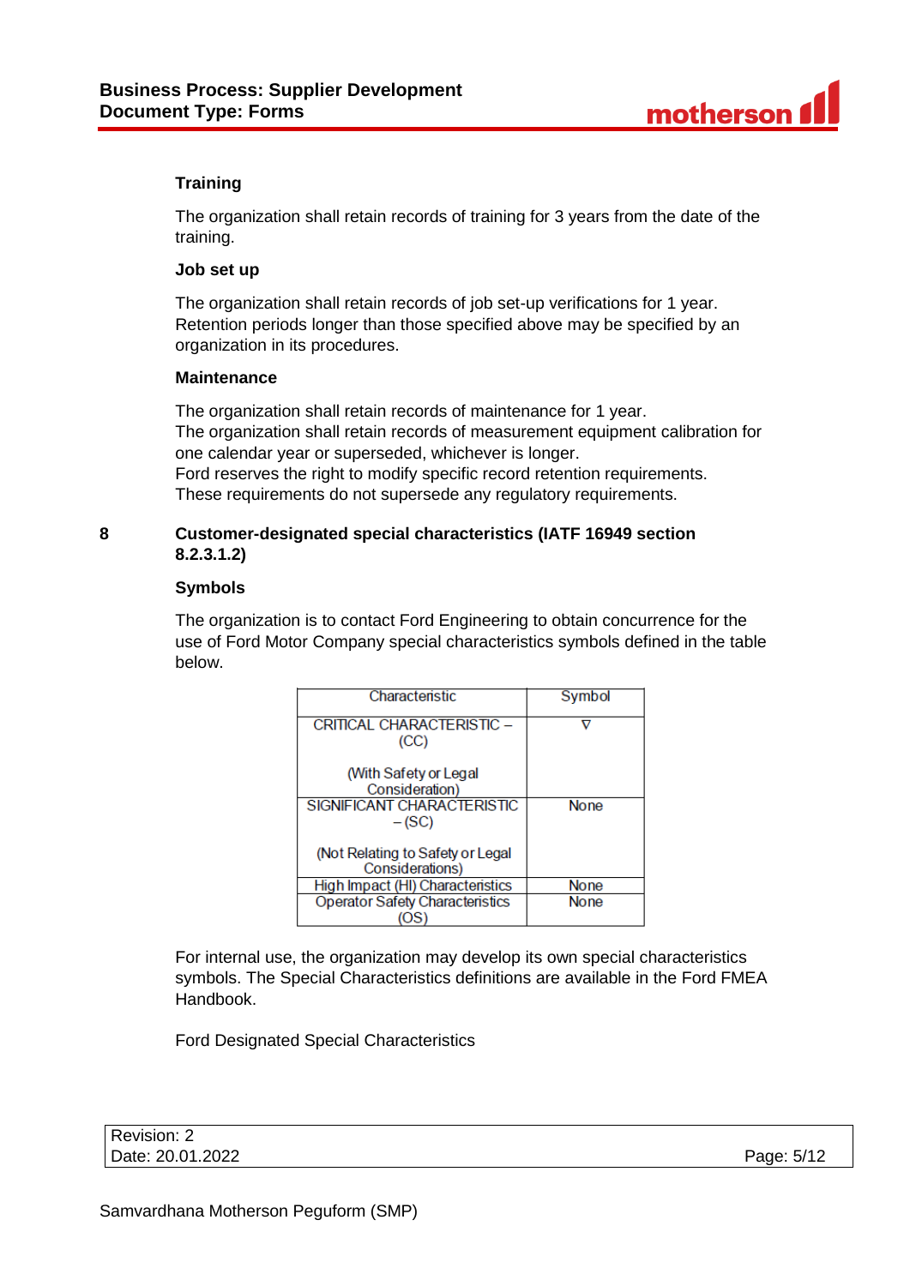# **Training**

The organization shall retain records of training for 3 years from the date of the training.

#### **Job set up**

The organization shall retain records of job set-up verifications for 1 year. Retention periods longer than those specified above may be specified by an organization in its procedures.

## **Maintenance**

The organization shall retain records of maintenance for 1 year. The organization shall retain records of measurement equipment calibration for one calendar year or superseded, whichever is longer. Ford reserves the right to modify specific record retention requirements. These requirements do not supersede any regulatory requirements.

## **8 Customer-designated special characteristics (IATF 16949 section 8.2.3.1.2)**

#### **Symbols**

The organization is to contact Ford Engineering to obtain concurrence for the use of Ford Motor Company special characteristics symbols defined in the table below.

| Characteristic                                      | Symbol      |
|-----------------------------------------------------|-------------|
| CRITICAL CHARACTERISTIC -<br>(CC)                   |             |
| (With Safety or Legal                               |             |
| Consideration)                                      |             |
| SIGNIFICANT CHARACTERISTIC<br>$-(SC)$               | <b>None</b> |
| (Not Relating to Safety or Legal<br>Considerations) |             |
| High Impact (HI) Characteristics                    | None        |
| <b>Operator Safety Characteristics</b>              | <b>None</b> |
|                                                     |             |

For internal use, the organization may develop its own special characteristics symbols. The Special Characteristics definitions are available in the Ford FMEA Handbook.

Ford Designated Special Characteristics

| Revision: 2      |            |
|------------------|------------|
| Date: 20.01.2022 | Page: 5/12 |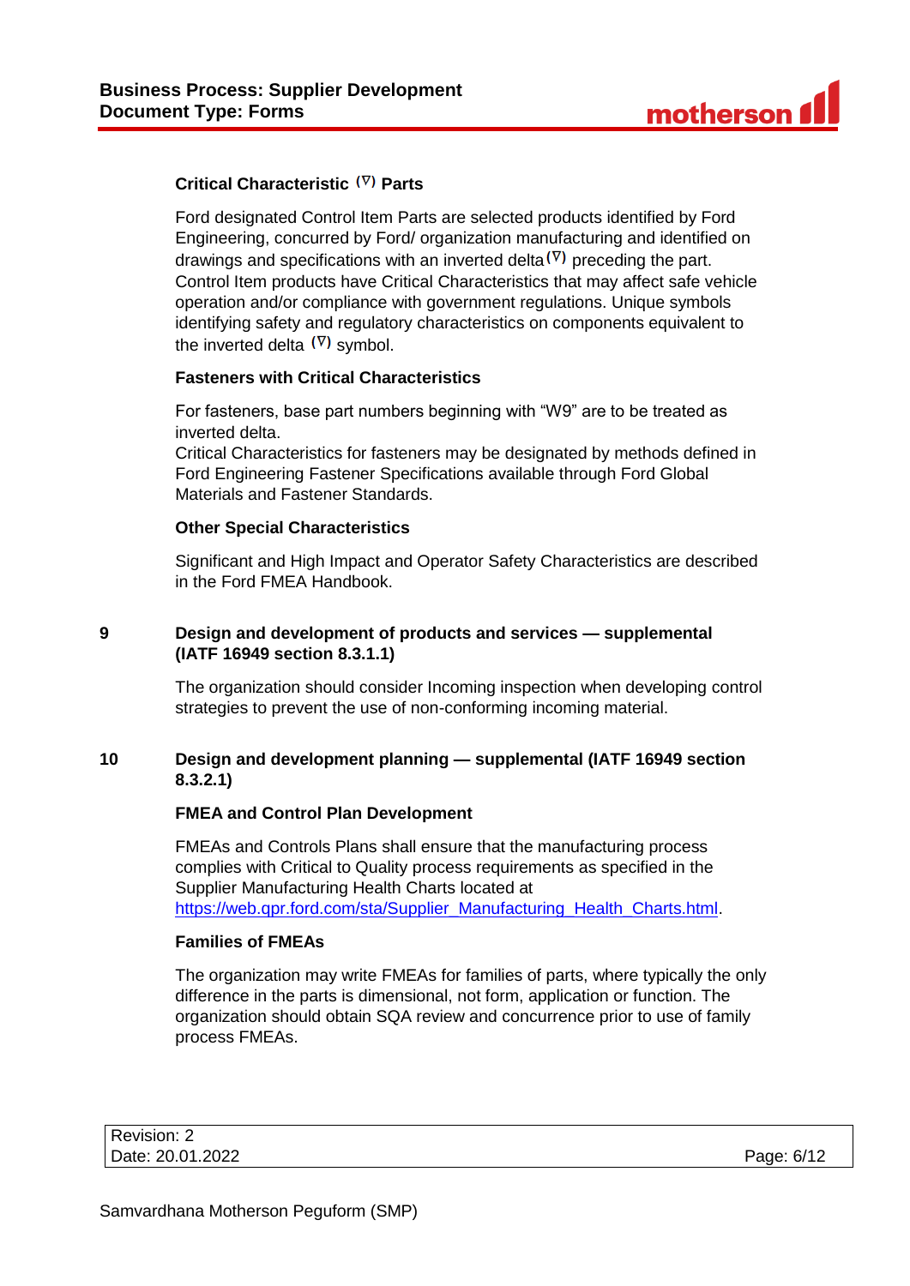## **Critical Characteristic (V) Parts**

Ford designated Control Item Parts are selected products identified by Ford Engineering, concurred by Ford/ organization manufacturing and identified on drawings and specifications with an inverted delta  $(\nabla)$  preceding the part. Control Item products have Critical Characteristics that may affect safe vehicle operation and/or compliance with government regulations. Unique symbols identifying safety and regulatory characteristics on components equivalent to the inverted delta  $(\nabla)$  symbol.

## **Fasteners with Critical Characteristics**

For fasteners, base part numbers beginning with "W9" are to be treated as inverted delta.

Critical Characteristics for fasteners may be designated by methods defined in Ford Engineering Fastener Specifications available through Ford Global Materials and Fastener Standards.

## **Other Special Characteristics**

Significant and High Impact and Operator Safety Characteristics are described in the Ford FMEA Handbook.

## **9 Design and development of products and services — supplemental (IATF 16949 section 8.3.1.1)**

The organization should consider Incoming inspection when developing control strategies to prevent the use of non-conforming incoming material.

## **10 Design and development planning — supplemental (IATF 16949 section 8.3.2.1)**

## **FMEA and Control Plan Development**

FMEAs and Controls Plans shall ensure that the manufacturing process complies with Critical to Quality process requirements as specified in the Supplier Manufacturing Health Charts located at [https://web.qpr.ford.com/sta/Supplier\\_Manufacturing\\_Health\\_Charts.html.](https://web.qpr.ford.com/sta/Supplier_Manufacturing_Health_Charts.html)

## **Families of FMEAs**

The organization may write FMEAs for families of parts, where typically the only difference in the parts is dimensional, not form, application or function. The organization should obtain SQA review and concurrence prior to use of family process FMEAs.

| Revision: 2      |            |
|------------------|------------|
| Date: 20.01.2022 | Page: 6/12 |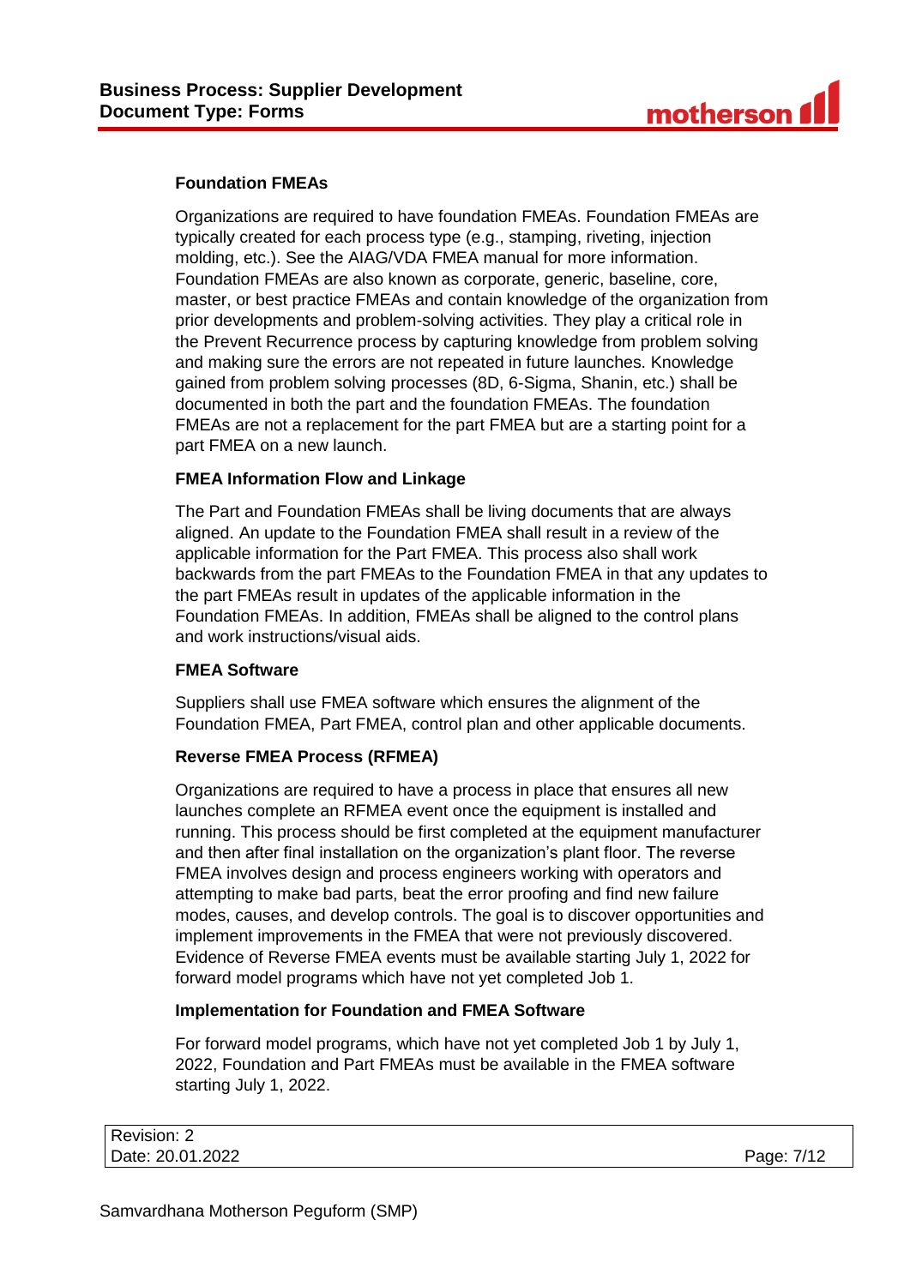## **Foundation FMEAs**

Organizations are required to have foundation FMEAs. Foundation FMEAs are typically created for each process type (e.g., stamping, riveting, injection molding, etc.). See the AIAG/VDA FMEA manual for more information. Foundation FMEAs are also known as corporate, generic, baseline, core, master, or best practice FMEAs and contain knowledge of the organization from prior developments and problem-solving activities. They play a critical role in the Prevent Recurrence process by capturing knowledge from problem solving and making sure the errors are not repeated in future launches. Knowledge gained from problem solving processes (8D, 6-Sigma, Shanin, etc.) shall be documented in both the part and the foundation FMEAs. The foundation FMEAs are not a replacement for the part FMEA but are a starting point for a part FMEA on a new launch.

## **FMEA Information Flow and Linkage**

The Part and Foundation FMEAs shall be living documents that are always aligned. An update to the Foundation FMEA shall result in a review of the applicable information for the Part FMEA. This process also shall work backwards from the part FMEAs to the Foundation FMEA in that any updates to the part FMEAs result in updates of the applicable information in the Foundation FMEAs. In addition, FMEAs shall be aligned to the control plans and work instructions/visual aids.

## **FMEA Software**

Suppliers shall use FMEA software which ensures the alignment of the Foundation FMEA, Part FMEA, control plan and other applicable documents.

# **Reverse FMEA Process (RFMEA)**

Organizations are required to have a process in place that ensures all new launches complete an RFMEA event once the equipment is installed and running. This process should be first completed at the equipment manufacturer and then after final installation on the organization's plant floor. The reverse FMEA involves design and process engineers working with operators and attempting to make bad parts, beat the error proofing and find new failure modes, causes, and develop controls. The goal is to discover opportunities and implement improvements in the FMEA that were not previously discovered. Evidence of Reverse FMEA events must be available starting July 1, 2022 for forward model programs which have not yet completed Job 1.

## **Implementation for Foundation and FMEA Software**

For forward model programs, which have not yet completed Job 1 by July 1, 2022, Foundation and Part FMEAs must be available in the FMEA software starting July 1, 2022.

| Revision: 2      |            |
|------------------|------------|
| Date: 20.01.2022 | Page: 7/12 |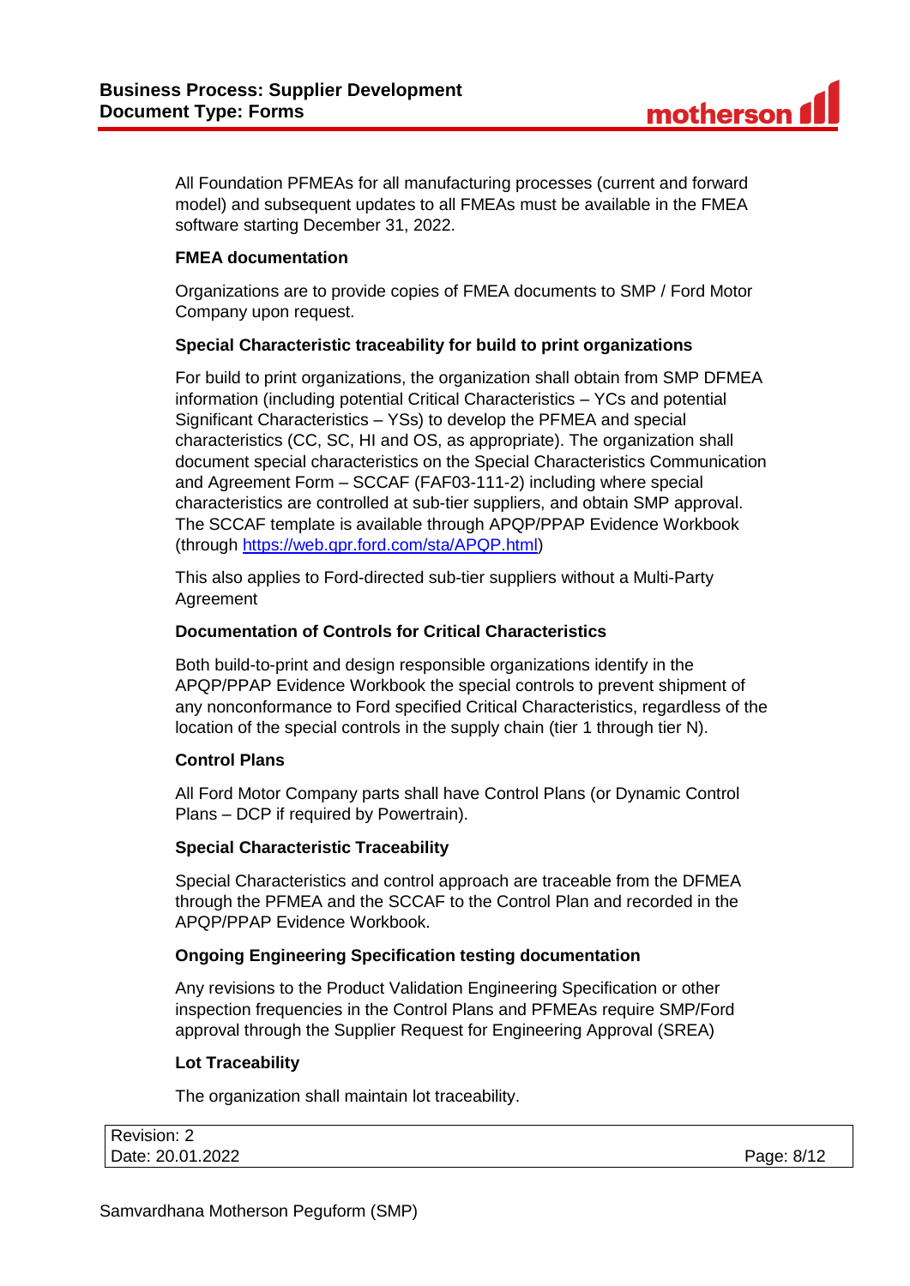All Foundation PFMEAs for all manufacturing processes (current and forward model) and subsequent updates to all FMEAs must be available in the FMEA software starting December 31, 2022.

## **FMEA documentation**

Organizations are to provide copies of FMEA documents to SMP / Ford Motor Company upon request.

## **Special Characteristic traceability for build to print organizations**

For build to print organizations, the organization shall obtain from SMP DFMEA information (including potential Critical Characteristics – YCs and potential Significant Characteristics – YSs) to develop the PFMEA and special characteristics (CC, SC, HI and OS, as appropriate). The organization shall document special characteristics on the Special Characteristics Communication and Agreement Form – SCCAF (FAF03-111-2) including where special characteristics are controlled at sub-tier suppliers, and obtain SMP approval. The SCCAF template is available through APQP/PPAP Evidence Workbook (through [https://web.qpr.ford.com/sta/APQP.html\)](https://web.qpr.ford.com/sta/APQP.html)

This also applies to Ford-directed sub-tier suppliers without a Multi-Party **Agreement** 

## **Documentation of Controls for Critical Characteristics**

Both build-to-print and design responsible organizations identify in the APQP/PPAP Evidence Workbook the special controls to prevent shipment of any nonconformance to Ford specified Critical Characteristics, regardless of the location of the special controls in the supply chain (tier 1 through tier N).

# **Control Plans**

All Ford Motor Company parts shall have Control Plans (or Dynamic Control Plans – DCP if required by Powertrain).

## **Special Characteristic Traceability**

Special Characteristics and control approach are traceable from the DFMEA through the PFMEA and the SCCAF to the Control Plan and recorded in the APQP/PPAP Evidence Workbook.

# **Ongoing Engineering Specification testing documentation**

Any revisions to the Product Validation Engineering Specification or other inspection frequencies in the Control Plans and PFMEAs require SMP/Ford approval through the Supplier Request for Engineering Approval (SREA)

## **Lot Traceability**

The organization shall maintain lot traceability.

| Revision: 2      |            |
|------------------|------------|
| Date: 20.01.2022 | Page: 8/12 |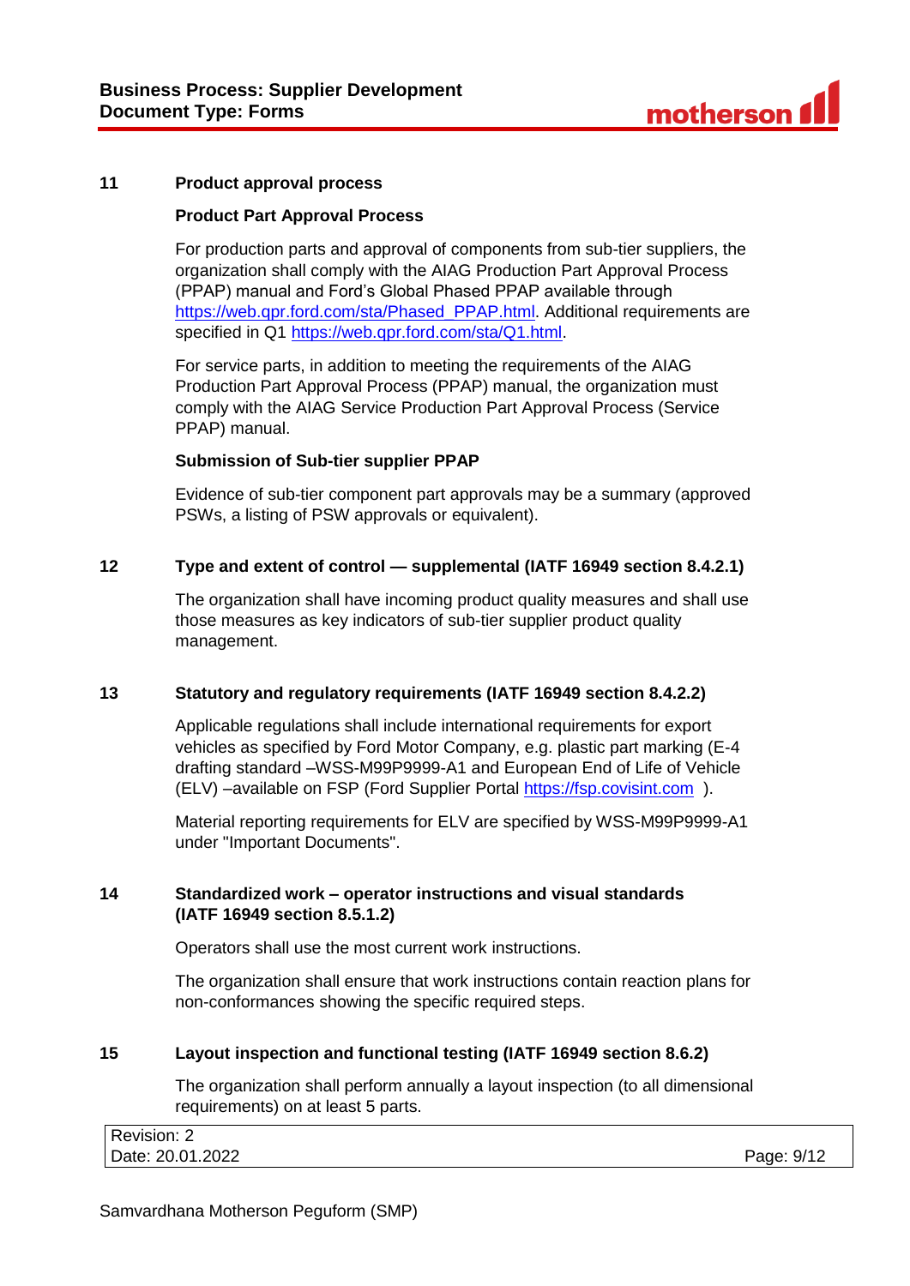#### **11 Product approval process**

#### **Product Part Approval Process**

For production parts and approval of components from sub-tier suppliers, the organization shall comply with the AIAG Production Part Approval Process (PPAP) manual and Ford's Global Phased PPAP available through [https://web.qpr.ford.com/sta/Phased\\_PPAP.html.](https://web.qpr.ford.com/sta/Phased_PPAP.html) Additional requirements are specified in Q1 [https://web.qpr.ford.com/sta/Q1.html.](https://web.qpr.ford.com/sta/Q1.html)

For service parts, in addition to meeting the requirements of the AIAG Production Part Approval Process (PPAP) manual, the organization must comply with the AIAG Service Production Part Approval Process (Service PPAP) manual.

## **Submission of Sub-tier supplier PPAP**

Evidence of sub-tier component part approvals may be a summary (approved PSWs, a listing of PSW approvals or equivalent).

#### **12 Type and extent of control — supplemental (IATF 16949 section 8.4.2.1)**

The organization shall have incoming product quality measures and shall use those measures as key indicators of sub-tier supplier product quality management.

#### **13 Statutory and regulatory requirements (IATF 16949 section 8.4.2.2)**

Applicable regulations shall include international requirements for export vehicles as specified by Ford Motor Company, e.g. plastic part marking (E-4 drafting standard –WSS-M99P9999-A1 and European End of Life of Vehicle (ELV) –available on FSP (Ford Supplier Portal [https://fsp.covisint.com](https://fsp.covisint.com/) ).

Material reporting requirements for ELV are specified by WSS-M99P9999-A1 under "Important Documents".

## **14 Standardized work – operator instructions and visual standards (IATF 16949 section 8.5.1.2)**

Operators shall use the most current work instructions.

The organization shall ensure that work instructions contain reaction plans for non-conformances showing the specific required steps.

#### **15 Layout inspection and functional testing (IATF 16949 section 8.6.2)**

The organization shall perform annually a layout inspection (to all dimensional requirements) on at least 5 parts.

| Revision: 2      |            |
|------------------|------------|
| Date: 20.01.2022 | Page: 9/12 |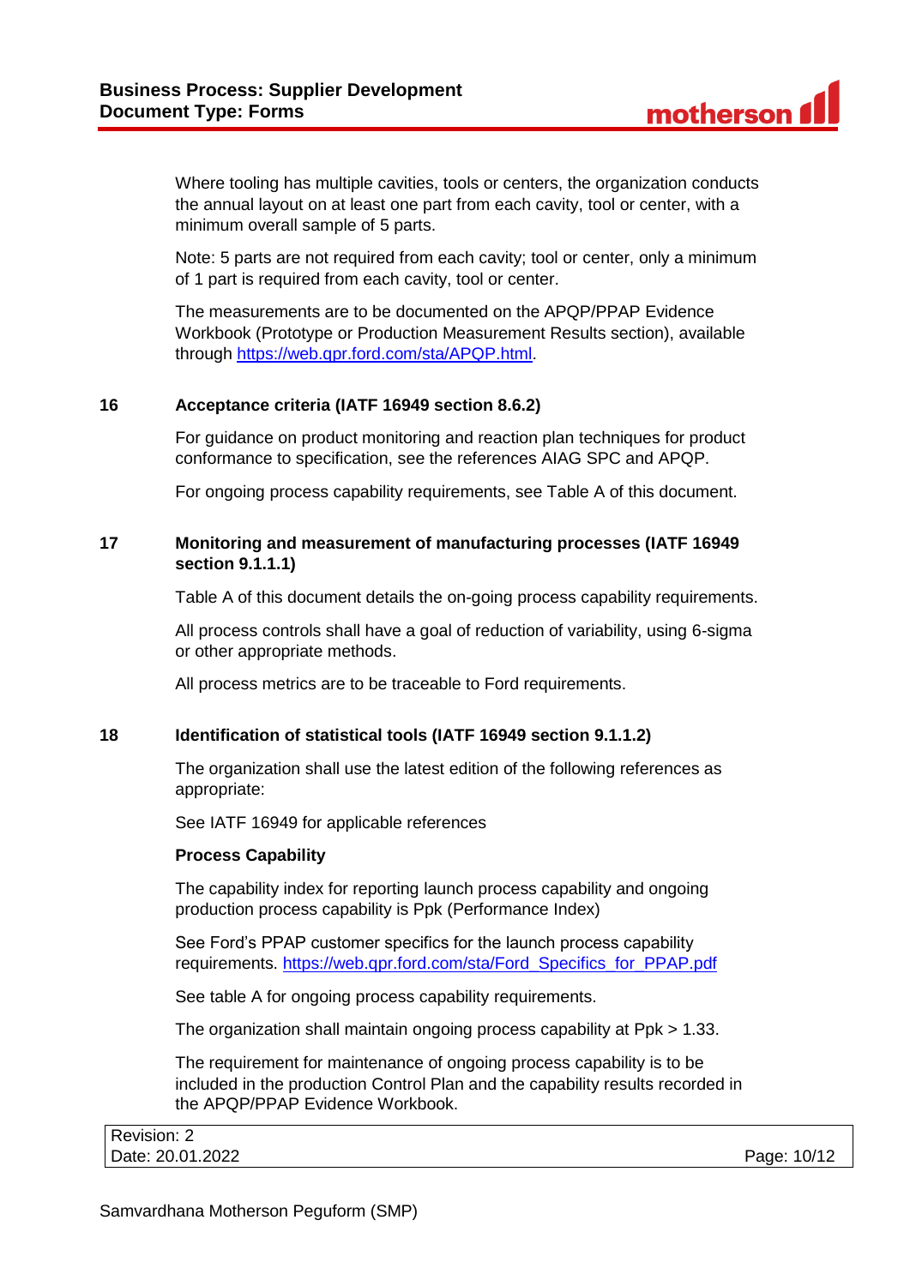Where tooling has multiple cavities, tools or centers, the organization conducts the annual layout on at least one part from each cavity, tool or center, with a minimum overall sample of 5 parts.

Note: 5 parts are not required from each cavity; tool or center, only a minimum of 1 part is required from each cavity, tool or center.

The measurements are to be documented on the APQP/PPAP Evidence Workbook (Prototype or Production Measurement Results section), available through [https://web.qpr.ford.com/sta/APQP.html.](https://web.qpr.ford.com/sta/APQP.html)

## **16 Acceptance criteria (IATF 16949 section 8.6.2)**

For guidance on product monitoring and reaction plan techniques for product conformance to specification, see the references AIAG SPC and APQP.

For ongoing process capability requirements, see Table A of this document.

## **17 Monitoring and measurement of manufacturing processes (IATF 16949 section 9.1.1.1)**

Table A of this document details the on-going process capability requirements.

All process controls shall have a goal of reduction of variability, using 6-sigma or other appropriate methods.

All process metrics are to be traceable to Ford requirements.

## **18 Identification of statistical tools (IATF 16949 section 9.1.1.2)**

The organization shall use the latest edition of the following references as appropriate:

See IATF 16949 for applicable references

## **Process Capability**

The capability index for reporting launch process capability and ongoing production process capability is Ppk (Performance Index)

See Ford's PPAP customer specifics for the launch process capability requirements. [https://web.qpr.ford.com/sta/Ford\\_Specifics\\_for\\_PPAP.pdf](https://web.qpr.ford.com/sta/Ford_Specifics_for_PPAP.pdf)

See table A for ongoing process capability requirements.

The organization shall maintain ongoing process capability at Ppk > 1.33.

The requirement for maintenance of ongoing process capability is to be included in the production Control Plan and the capability results recorded in the APQP/PPAP Evidence Workbook.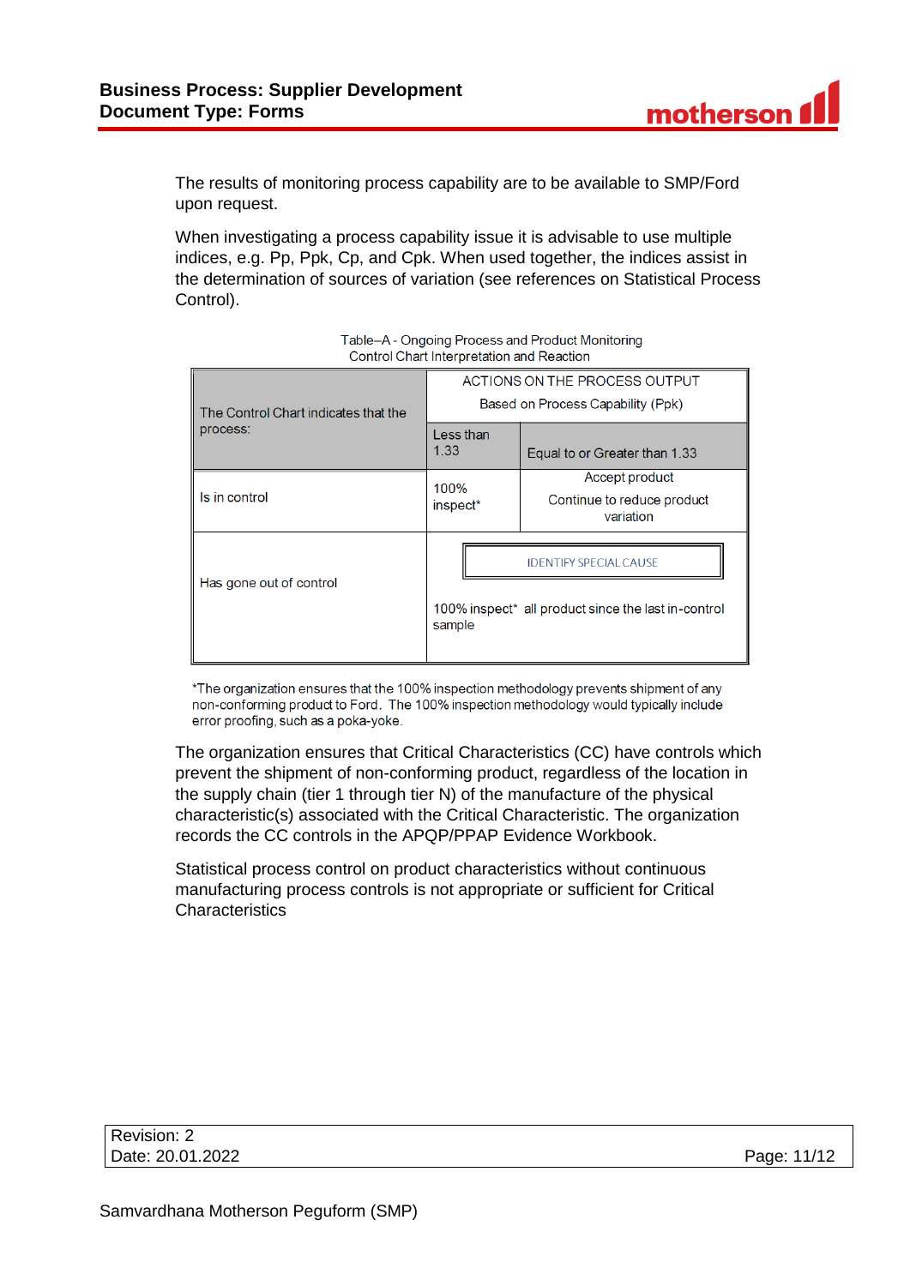The results of monitoring process capability are to be available to SMP/Ford upon request.

When investigating a process capability issue it is advisable to use multiple indices, e.g. Pp, Ppk, Cp, and Cpk. When used together, the indices assist in the determination of sources of variation (see references on Statistical Process Control).

| The Control Chart indicates that the | ACTIONS ON THE PROCESS OUTPUT<br>Based on Process Capability (Ppk) |                                                                                      |
|--------------------------------------|--------------------------------------------------------------------|--------------------------------------------------------------------------------------|
| process:                             | Less than<br>1.33                                                  | Equal to or Greater than 1.33                                                        |
| Is in control                        | 100%<br>inspect <sup>*</sup>                                       | Accept product<br>Continue to reduce product<br>variation                            |
| Has gone out of control              | sample                                                             | <b>IDENTIFY SPECIAL CAUSE</b><br>100% inspect* all product since the last in-control |

#### Table-A - Ongoing Process and Product Monitoring Control Chart Interpretation and Reaction

\*The organization ensures that the 100% inspection methodology prevents shipment of any non-conforming product to Ford. The 100% inspection methodology would typically include error proofing, such as a poka-yoke.

The organization ensures that Critical Characteristics (CC) have controls which prevent the shipment of non-conforming product, regardless of the location in the supply chain (tier 1 through tier N) of the manufacture of the physical characteristic(s) associated with the Critical Characteristic. The organization records the CC controls in the APQP/PPAP Evidence Workbook.

Statistical process control on product characteristics without continuous manufacturing process controls is not appropriate or sufficient for Critical **Characteristics** 

| Revision: 2      |             |
|------------------|-------------|
| Date: 20.01.2022 | Page: 11/12 |